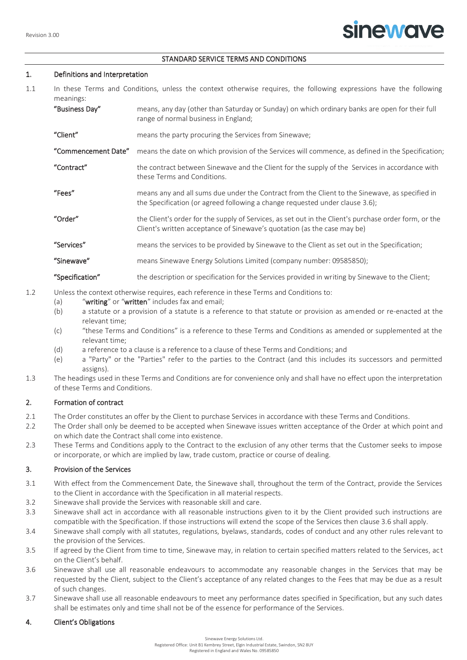### STANDARD SERVICE TERMS AND CONDITIONS

## 1. Definitions and Interpretation

- 1.1 In these Terms and Conditions, unless the context otherwise requires, the following expressions have the following meanings:
	- "Business Day" means, any day (other than Saturday or Sunday) on which ordinary banks are open for their full range of normal business in England; "Client" means the party procuring the Services from Sinewave; "Commencement Date" means the date on which provision of the Services will commence, as defined in the Specification;
	- "Contract" the contract between Sinewave and the Client for the supply of the Services in accordance with these Terms and Conditions.
	- "Fees" means any and all sums due under the Contract from the Client to the Sinewave, as specified in the Specification (or agreed following a change requested under clause 3.6);
	- "Order" the Client's order for the supply of Services, as set out in the Client's purchase order form, or the Client's written acceptance of Sinewave's quotation (as the case may be)
	- "Services" means the services to be provided by Sinewave to the Client as set out in the Specification;

"Sinewave" means Sinewave Energy Solutions Limited (company number: 09585850);

## "Specification" the description or specification for the Services provided in writing by Sinewave to the Client;

- 1.2 Unless the context otherwise requires, each reference in these Terms and Conditions to:
	- (a) "writing" or "written" includes fax and email;
	- (b) a statute or a provision of a statute is a reference to that statute or provision as amended or re-enacted at the relevant time;
	- (c) "these Terms and Conditions" is a reference to these Terms and Conditions as amended or supplemented at the relevant time;
	- (d) a reference to a clause is a reference to a clause of these Terms and Conditions; and
	- (e) a "Party" or the "Parties" refer to the parties to the Contract (and this includes its successors and permitted assigns).
- 1.3 The headings used in these Terms and Conditions are for convenience only and shall have no effect upon the interpretation of these Terms and Conditions.

## 2. Formation of contract

- 2.1 The Order constitutes an offer by the Client to purchase Services in accordance with these Terms and Conditions.
- 2.2 The Order shall only be deemed to be accepted when Sinewave issues written acceptance of the Order at which point and on which date the Contract shall come into existence.
- 2.3 These Terms and Conditions apply to the Contract to the exclusion of any other terms that the Customer seeks to impose or incorporate, or which are implied by law, trade custom, practice or course of dealing.

## 3. Provision of the Services

- 3.1 With effect from the Commencement Date, the Sinewave shall, throughout the term of the Contract, provide the Services to the Client in accordance with the Specification in all material respects.
- 3.2 Sinewave shall provide the Services with reasonable skill and care.
- 3.3 Sinewave shall act in accordance with all reasonable instructions given to it by the Client provided such instructions are compatible with the Specification. If those instructions will extend the scope of the Services then clause 3.6 shall apply.
- 3.4 Sinewave shall comply with all statutes, regulations, byelaws, standards, codes of conduct and any other rules relevant to the provision of the Services.
- 3.5 If agreed by the Client from time to time, Sinewave may, in relation to certain specified matters related to the Services, act on the Client's behalf.
- 3.6 Sinewave shall use all reasonable endeavours to accommodate any reasonable changes in the Services that may be requested by the Client, subject to the Client's acceptance of any related changes to the Fees that may be due as a result of such changes.
- 3.7 Sinewave shall use all reasonable endeavours to meet any performance dates specified in Specification, but any such dates shall be estimates only and time shall not be of the essence for performance of the Services.

## 4. Client's Obligations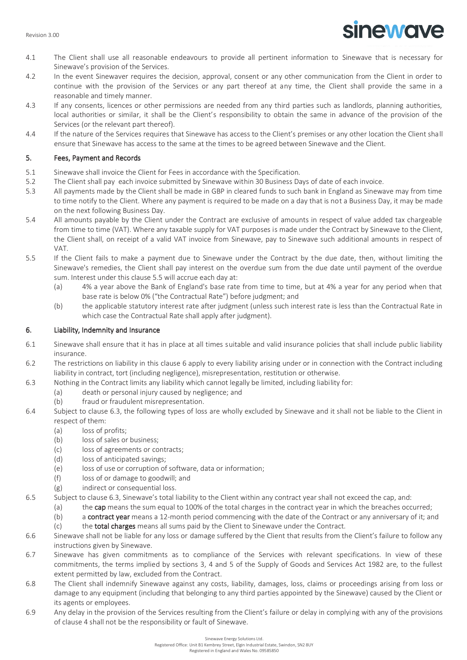

- 4.1 The Client shall use all reasonable endeavours to provide all pertinent information to Sinewave that is necessary for Sinewave's provision of the Services.
- 4.2 In the event Sinewaver requires the decision, approval, consent or any other communication from the Client in order to continue with the provision of the Services or any part thereof at any time, the Client shall provide the same in a reasonable and timely manner.
- 4.3 If any consents, licences or other permissions are needed from any third parties such as landlords, planning authorities, local authorities or similar, it shall be the Client's responsibility to obtain the same in advance of the provision of the Services (or the relevant part thereof).
- 4.4 If the nature of the Services requires that Sinewave has access to the Client's premises or any other location the Client shall ensure that Sinewave has access to the same at the times to be agreed between Sinewave and the Client.

# 5. Fees, Payment and Records

- 5.1 Sinewave shall invoice the Client for Fees in accordance with the Specification.
- 5.2 The Client shall pay each invoice submitted by Sinewave within 30 Business Days of date of each invoice.
- 5.3 All payments made by the Client shall be made in GBP in cleared funds to such bank in England as Sinewave may from time to time notify to the Client. Where any payment is required to be made on a day that is not a Business Day, it may be made on the next following Business Day.
- 5.4 All amounts payable by the Client under the Contract are exclusive of amounts in respect of value added tax chargeable from time to time (VAT). Where any taxable supply for VAT purposes is made under the Contract by Sinewave to the Client, the Client shall, on receipt of a valid VAT invoice from Sinewave, pay to Sinewave such additional amounts in respect of VAT.
- 5.5 If the Client fails to make a payment due to Sinewave under the Contract by the due date, then, without limiting the Sinewave's remedies, the Client shall pay interest on the overdue sum from the due date until payment of the overdue sum. Interest under this clause 5.5 will accrue each day at:
	- (a) 4% a year above the Bank of England's base rate from time to time, but at 4% a year for any period when that base rate is below 0% ("the Contractual Rate") before judgment; and
	- (b) the applicable statutory interest rate after judgment (unless such interest rate is less than the Contractual Rate in which case the Contractual Rate shall apply after judgment).

# 6. Liability, Indemnity and Insurance

- 6.1 Sinewave shall ensure that it has in place at all times suitable and valid insurance policies that shall include public liability insurance.
- 6.2 The restrictions on liability in this clause 6 apply to every liability arising under or in connection with the Contract including liability in contract, tort (including negligence), misrepresentation, restitution or otherwise.
- 6.3 Nothing in the Contract limits any liability which cannot legally be limited, including liability for:
	- (a) death or personal injury caused by negligence; and
	- (b) fraud or fraudulent misrepresentation.
- 6.4 Subject to clause 6.3, the following types of loss are wholly excluded by Sinewave and it shall not be liable to the Client in respect of them:
	- (a) loss of profits;
	- (b) loss of sales or business;
	- (c) loss of agreements or contracts;
	- (d) loss of anticipated savings;
	- (e) loss of use or corruption of software, data or information;
	- (f) loss of or damage to goodwill; and
	- (g) indirect or consequential loss.
- 6.5 Subject to clause 6.3, Sinewave's total liability to the Client within any contract year shall not exceed the cap, and:
	- (a) the cap means the sum equal to 100% of the total charges in the contract year in which the breaches occurred;
	- (b) a contract year means a 12-month period commencing with the date of the Contract or any anniversary of it; and
	- (c) the total charges means all sums paid by the Client to Sinewave under the Contract.
- 6.6 Sinewave shall not be liable for any loss or damage suffered by the Client that results from the Client's failure to follow any instructions given by Sinewave.
- 6.7 Sinewave has given commitments as to compliance of the Services with relevant specifications. In view of these commitments, the terms implied by sections 3, 4 and 5 of the Supply of Goods and Services Act 1982 are, to the fullest extent permitted by law, excluded from the Contract.
- 6.8 The Client shall indemnify Sinewave against any costs, liability, damages, loss, claims or proceedings arising from loss or damage to any equipment (including that belonging to any third parties appointed by the Sinewave) caused by the Client or its agents or employees.
- 6.9 Any delay in the provision of the Services resulting from the Client's failure or delay in complying with any of the provisions of clause 4 shall not be the responsibility or fault of Sinewave.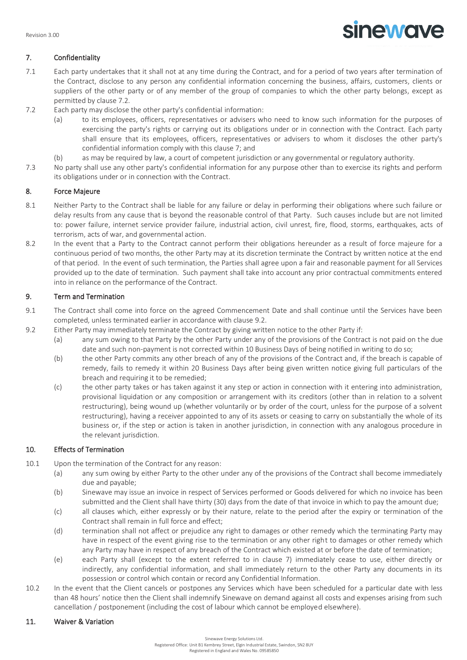

# 7. Confidentiality

- 7.1 Each party undertakes that it shall not at any time during the Contract, and for a period of two years after termination of the Contract, disclose to any person any confidential information concerning the business, affairs, customers, clients or suppliers of the other party or of any member of the group of companies to which the other party belongs, except as permitted by clause 7.2.
- 7.2 Each party may disclose the other party's confidential information:
	- (a) to its employees, officers, representatives or advisers who need to know such information for the purposes of exercising the party's rights or carrying out its obligations under or in connection with the Contract. Each party shall ensure that its employees, officers, representatives or advisers to whom it discloses the other party's confidential information comply with this clause 7; and
	- (b) as may be required by law, a court of competent jurisdiction or any governmental or regulatory authority.
- 7.3 No party shall use any other party's confidential information for any purpose other than to exercise its rights and perform its obligations under or in connection with the Contract.

# 8. Force Majeure

- 8.1 Neither Party to the Contract shall be liable for any failure or delay in performing their obligations where such failure or delay results from any cause that is beyond the reasonable control of that Party. Such causes include but are not limited to: power failure, internet service provider failure, industrial action, civil unrest, fire, flood, storms, earthquakes, acts of terrorism, acts of war, and governmental action.
- 8.2 In the event that a Party to the Contract cannot perform their obligations hereunder as a result of force majeure for a continuous period of two months, the other Party may at its discretion terminate the Contract by written notice at the end of that period. In the event of such termination, the Parties shall agree upon a fair and reasonable payment for all Services provided up to the date of termination. Such payment shall take into account any prior contractual commitments entered into in reliance on the performance of the Contract.

# 9. Term and Termination

- 9.1 The Contract shall come into force on the agreed Commencement Date and shall continue until the Services have been completed, unless terminated earlier in accordance with clause 9.2.
- 9.2 Either Party may immediately terminate the Contract by giving written notice to the other Party if:
	- (a) any sum owing to that Party by the other Party under any of the provisions of the Contract is not paid on the due date and such non-payment is not corrected within 10 Business Days of being notified in writing to do so;
	- (b) the other Party commits any other breach of any of the provisions of the Contract and, if the breach is capable of remedy, fails to remedy it within 20 Business Days after being given written notice giving full particulars of the breach and requiring it to be remedied;
	- (c) the other party takes or has taken against it any step or action in connection with it entering into administration, provisional liquidation or any composition or arrangement with its creditors (other than in relation to a solvent restructuring), being wound up (whether voluntarily or by order of the court, unless for the purpose of a solvent restructuring), having a receiver appointed to any of its assets or ceasing to carry on substantially the whole of its business or, if the step or action is taken in another jurisdiction, in connection with any analogous procedure in the relevant jurisdiction.

# 10. Effects of Termination

- 10.1 Upon the termination of the Contract for any reason:
	- (a) any sum owing by either Party to the other under any of the provisions of the Contract shall become immediately due and payable;
	- (b) Sinewave may issue an invoice in respect of Services performed or Goods delivered for which no invoice has been submitted and the Client shall have thirty (30) days from the date of that invoice in which to pay the amount due;
	- (c) all clauses which, either expressly or by their nature, relate to the period after the expiry or termination of the Contract shall remain in full force and effect;
	- (d) termination shall not affect or prejudice any right to damages or other remedy which the terminating Party may have in respect of the event giving rise to the termination or any other right to damages or other remedy which any Party may have in respect of any breach of the Contract which existed at or before the date of termination;
	- (e) each Party shall (except to the extent referred to in clause 7) immediately cease to use, either directly or indirectly, any confidential information, and shall immediately return to the other Party any documents in its possession or control which contain or record any Confidential Information.
- 10.2 In the event that the Client cancels or postpones any Services which have been scheduled for a particular date with less than 48 hours' notice then the Client shall indemnify Sinewave on demand against all costs and expenses arising from such cancellation / postponement (including the cost of labour which cannot be employed elsewhere).

## 11. Waiver & Variation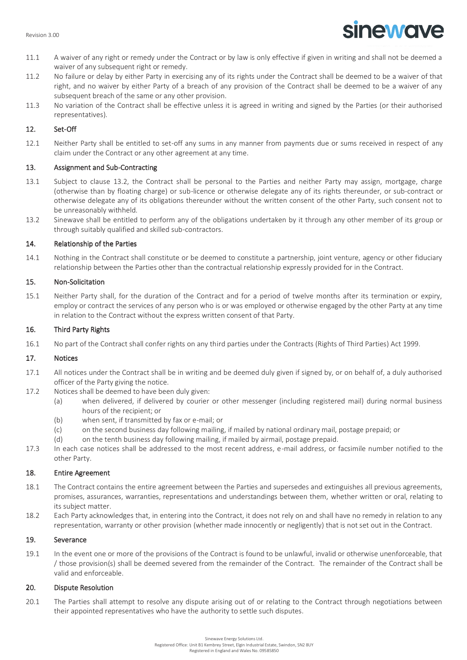# **sinewave**

- 11.1 A waiver of any right or remedy under the Contract or by law is only effective if given in writing and shall not be deemed a waiver of any subsequent right or remedy.
- 11.2 No failure or delay by either Party in exercising any of its rights under the Contract shall be deemed to be a waiver of that right, and no waiver by either Party of a breach of any provision of the Contract shall be deemed to be a waiver of any subsequent breach of the same or any other provision.
- 11.3 No variation of the Contract shall be effective unless it is agreed in writing and signed by the Parties (or their authorised representatives).

# 12. Set-Off

12.1 Neither Party shall be entitled to set-off any sums in any manner from payments due or sums received in respect of any claim under the Contract or any other agreement at any time.

# 13. Assignment and Sub-Contracting

- 13.1 Subject to clause 13.2, the Contract shall be personal to the Parties and neither Party may assign, mortgage, charge (otherwise than by floating charge) or sub-licence or otherwise delegate any of its rights thereunder, or sub-contract or otherwise delegate any of its obligations thereunder without the written consent of the other Party, such consent not to be unreasonably withheld.
- 13.2 Sinewave shall be entitled to perform any of the obligations undertaken by it through any other member of its group or through suitably qualified and skilled sub-contractors.

# 14. Relationship of the Parties

14.1 Nothing in the Contract shall constitute or be deemed to constitute a partnership, joint venture, agency or other fiduciary relationship between the Parties other than the contractual relationship expressly provided for in the Contract.

# 15. Non-Solicitation

15.1 Neither Party shall, for the duration of the Contract and for a period of twelve months after its termination or expiry, employ or contract the services of any person who is or was employed or otherwise engaged by the other Party at any time in relation to the Contract without the express written consent of that Party.

# 16. Third Party Rights

16.1 No part of the Contract shall confer rights on any third parties under the Contracts (Rights of Third Parties) Act 1999.

## 17. Notices

- 17.1 All notices under the Contract shall be in writing and be deemed duly given if signed by, or on behalf of, a duly authorised officer of the Party giving the notice.
- 17.2 Notices shall be deemed to have been duly given:
	- (a) when delivered, if delivered by courier or other messenger (including registered mail) during normal business hours of the recipient; or
	- (b) when sent, if transmitted by fax or e-mail; or
	- (c) on the second business day following mailing, if mailed by national ordinary mail, postage prepaid; or
	- (d) on the tenth business day following mailing, if mailed by airmail, postage prepaid.
- 17.3 In each case notices shall be addressed to the most recent address, e-mail address, or facsimile number notified to the other Party.

## 18. Entire Agreement

- 18.1 The Contract contains the entire agreement between the Parties and supersedes and extinguishes all previous agreements, promises, assurances, warranties, representations and understandings between them, whether written or oral, relating to its subject matter.
- 18.2 Each Party acknowledges that, in entering into the Contract, it does not rely on and shall have no remedy in relation to any representation, warranty or other provision (whether made innocently or negligently) that is not set out in the Contract.

## 19. Severance

19.1 In the event one or more of the provisions of the Contract is found to be unlawful, invalid or otherwise unenforceable, that / those provision(s) shall be deemed severed from the remainder of the Contract. The remainder of the Contract shall be valid and enforceable.

# 20. Dispute Resolution

20.1 The Parties shall attempt to resolve any dispute arising out of or relating to the Contract through negotiations between their appointed representatives who have the authority to settle such disputes.